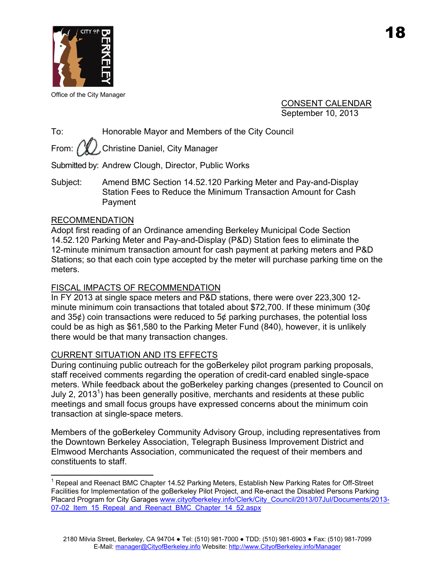

Office of the City Manager

CONSENT CALENDAR September 10, 2013

To: Honorable Mayor and Members of the City Council

From:  $\sqrt{\frac{w}{L}}$ . Christine Daniel, City Manager

Submitted by: Andrew Clough, Director, Public Works

Subject: Amend BMC Section 14.52.120 Parking Meter and Pay-and-Display Station Fees to Reduce the Minimum Transaction Amount for Cash Payment

### RECOMMENDATION

1

Adopt first reading of an Ordinance amending Berkeley Municipal Code Section 14.52.120 Parking Meter and Pay-and-Display (P&D) Station fees to eliminate the 12-minute minimum transaction amount for cash payment at parking meters and P&D Stations; so that each coin type accepted by the meter will purchase parking time on the meters.

### FISCAL IMPACTS OF RECOMMENDATION

In FY 2013 at single space meters and P&D stations, there were over 223,300 12 minute minimum coin transactions that totaled about \$72,700. If these minimum (30¢ and 35¢) coin transactions were reduced to 5¢ parking purchases, the potential loss could be as high as \$61,580 to the Parking Meter Fund (840), however, it is unlikely there would be that many transaction changes.

### CURRENT SITUATION AND ITS EFFECTS

During continuing public outreach for the goBerkeley pilot program parking proposals, staff received comments regarding the operation of credit-card enabled single-space meters. While feedback about the goBerkeley parking changes (presented to Council on July 2, 2013<sup>1</sup>) has been generally positive, merchants and residents at these public meetings and small focus groups have expressed concerns about the minimum coin transaction at single-space meters.

Members of the goBerkeley Community Advisory Group, including representatives from the Downtown Berkeley Association, Telegraph Business Improvement District and Elmwood Merchants Association, communicated the request of their members and constituents to staff.

<sup>&</sup>lt;sup>1</sup> Repeal and Reenact BMC Chapter 14.52 Parking Meters, Establish New Parking Rates for Off-Street Facilities for Implementation of the goBerkeley Pilot Project, and Re-enact the Disabled Persons Parking Placard Program for City Garages www.cityofberkeley.info/Clerk/City Council/2013/07Jul/Documents/2013-07-02 Item 15 Repeal and Reenact BMC Chapter 14 52.aspx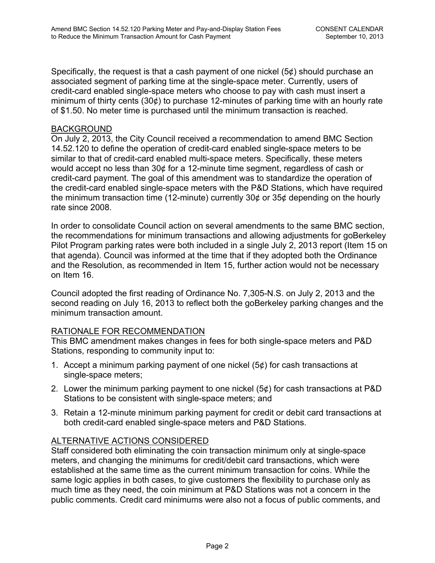Specifically, the request is that a cash payment of one nickel (5¢) should purchase an associated segment of parking time at the single-space meter. Currently, users of credit-card enabled single-space meters who choose to pay with cash must insert a minimum of thirty cents (30¢) to purchase 12-minutes of parking time with an hourly rate of \$1.50. No meter time is purchased until the minimum transaction is reached.

## BACKGROUND

On July 2, 2013, the City Council received a recommendation to amend BMC Section 14.52.120 to define the operation of credit-card enabled single-space meters to be similar to that of credit-card enabled multi-space meters. Specifically, these meters would accept no less than 30¢ for a 12-minute time segment, regardless of cash or credit-card payment. The goal of this amendment was to standardize the operation of the credit-card enabled single-space meters with the P&D Stations, which have required the minimum transaction time (12-minute) currently 30¢ or 35¢ depending on the hourly rate since 2008.

In order to consolidate Council action on several amendments to the same BMC section, the recommendations for minimum transactions and allowing adjustments for goBerkeley Pilot Program parking rates were both included in a single July 2, 2013 report (Item 15 on that agenda). Council was informed at the time that if they adopted both the Ordinance and the Resolution, as recommended in Item 15, further action would not be necessary on Item 16.

Council adopted the first reading of Ordinance No. 7,305-N.S. on July 2, 2013 and the second reading on July 16, 2013 to reflect both the goBerkeley parking changes and the minimum transaction amount.

# RATIONALE FOR RECOMMENDATION

This BMC amendment makes changes in fees for both single-space meters and P&D Stations, responding to community input to:

- 1. Accept a minimum parking payment of one nickel (5¢) for cash transactions at single-space meters;
- 2. Lower the minimum parking payment to one nickel (5¢) for cash transactions at P&D Stations to be consistent with single-space meters; and
- 3. Retain a 12-minute minimum parking payment for credit or debit card transactions at both credit-card enabled single-space meters and P&D Stations.

# ALTERNATIVE ACTIONS CONSIDERED

Staff considered both eliminating the coin transaction minimum only at single-space meters, and changing the minimums for credit/debit card transactions, which were established at the same time as the current minimum transaction for coins. While the same logic applies in both cases, to give customers the flexibility to purchase only as much time as they need, the coin minimum at P&D Stations was not a concern in the public comments. Credit card minimums were also not a focus of public comments, and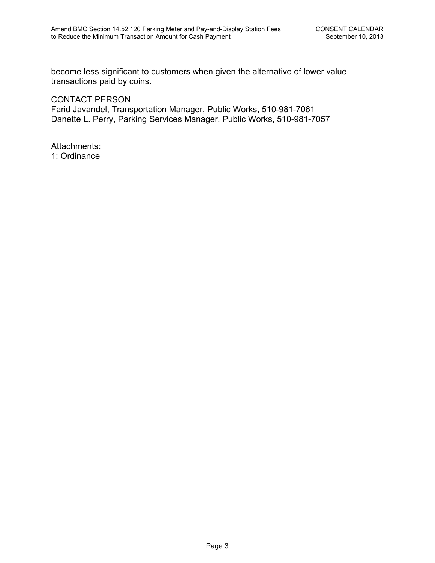become less significant to customers when given the alternative of lower value transactions paid by coins.

# CONTACT PERSON

Farid Javandel, Transportation Manager, Public Works, 510-981-7061 Danette L. Perry, Parking Services Manager, Public Works, 510-981-7057

Attachments: 1: Ordinance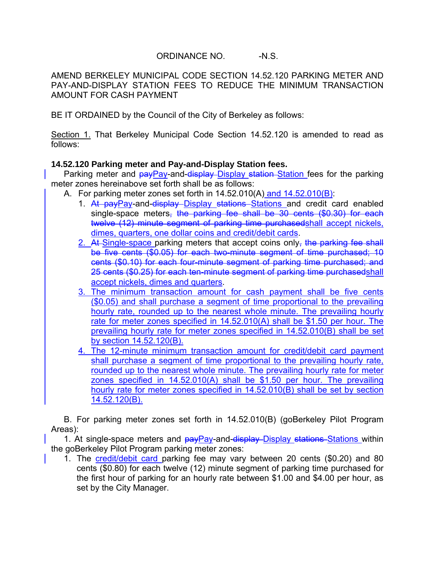## ORDINANCE NO. -N.S.

AMEND BERKELEY MUNICIPAL CODE SECTION 14.52.120 PARKING METER AND PAY-AND-DISPLAY STATION FEES TO REDUCE THE MINIMUM TRANSACTION AMOUNT FOR CASH PAYMENT

BE IT ORDAINED by the Council of the City of Berkeley as follows:

Section 1. That Berkeley Municipal Code Section 14.52.120 is amended to read as follows:

## **14.52.120 Parking meter and Pay-and-Display Station fees.**

Parking meter and payPay-and-display-Display station-Station fees for the parking meter zones hereinabove set forth shall be as follows:

- A. For parking meter zones set forth in 14.52.010(A) and 14.52.010(B):
	- 1. At payPay-and-display-Display stations Stations and credit card enabled single-space meters, the parking fee shall be 30 cents (\$0.30) for each twelve (12) minute segment of parking time purchasedshall accept nickels, dimes, quarters, one dollar coins and credit/debit cards.
	- 2. At Single-space parking meters that accept coins only, the parking fee shall be five cents (\$0.05) for each two-minute segment of time purchased; 10 cents (\$0.10) for each four-minute segment of parking time purchased; and 25 cents (\$0.25) for each ten-minute segment of parking time purchasedshall accept nickels, dimes and quarters.
	- 3. The minimum transaction amount for cash payment shall be five cents (\$0.05) and shall purchase a segment of time proportional to the prevailing hourly rate, rounded up to the nearest whole minute. The prevailing hourly rate for meter zones specified in 14.52.010(A) shall be \$1.50 per hour. The prevailing hourly rate for meter zones specified in 14.52.010(B) shall be set by section 14.52.120(B).
	- 4. The 12-minute minimum transaction amount for credit/debit card payment shall purchase a segment of time proportional to the prevailing hourly rate, rounded up to the nearest whole minute. The prevailing hourly rate for meter zones specified in 14.52.010(A) shall be \$1.50 per hour. The prevailing hourly rate for meter zones specified in 14.52.010(B) shall be set by section 14.52.120(B).

B. For parking meter zones set forth in 14.52.010(B) (goBerkeley Pilot Program Areas):

1. At single-space meters and  $payPay-and-display-Display stationary Statistics$ the goBerkeley Pilot Program parking meter zones:

1. The credit/debit card parking fee may vary between 20 cents (\$0.20) and 80 cents (\$0.80) for each twelve (12) minute segment of parking time purchased for the first hour of parking for an hourly rate between \$1.00 and \$4.00 per hour, as set by the City Manager.